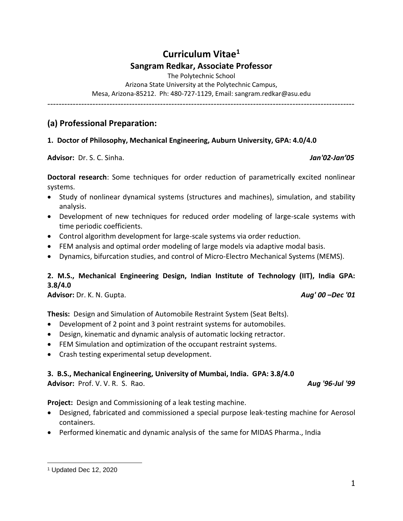# **Curriculum Vitae<sup>1</sup> Sangram Redkar, Associate Professor**

The Polytechnic School

Arizona State University at the Polytechnic Campus, Mesa, Arizona-85212. Ph: 480-727-1129, Email: sangram.redkar@asu.edu

-------------------------------------------------------------------------------------------------------------

### **(a) Professional Preparation:**

### **1. Doctor of Philosophy, Mechanical Engineering, Auburn University, GPA: 4.0/4.0**

**Advisor:** Dr. S. C. Sinha. *Jan'02-Jan'05* 

**Doctoral research**: Some techniques for order reduction of parametrically excited nonlinear systems.

- Study of nonlinear dynamical systems (structures and machines), simulation, and stability analysis.
- Development of new techniques for reduced order modeling of large-scale systems with time periodic coefficients.
- Control algorithm development for large-scale systems via order reduction.
- FEM analysis and optimal order modeling of large models via adaptive modal basis.
- Dynamics, bifurcation studies, and control of Micro-Electro Mechanical Systems (MEMS).

### **2. M.S., Mechanical Engineering Design, Indian Institute of Technology (IIT), India GPA: 3.8/4.0**

**Advisor:** Dr. K. N. Gupta. *Aug' 00 –Dec '01*

**Thesis:** Design and Simulation of Automobile Restraint System (Seat Belts).

- Development of 2 point and 3 point restraint systems for automobiles.
- Design, kinematic and dynamic analysis of automatic locking retractor.
- FEM Simulation and optimization of the occupant restraint systems.
- Crash testing experimental setup development.

### **3. B.S., Mechanical Engineering, University of Mumbai, India. GPA: 3.8/4.0**

**Advisor:** Prof. V. V. R. S. Rao. *Aug '96-Jul '99*

**Project:** Design and Commissioning of a leak testing machine.

- Designed, fabricated and commissioned a special purpose leak-testing machine for Aerosol containers.
- Performed kinematic and dynamic analysis of the same for MIDAS Pharma., India

<sup>1</sup> Updated Dec 12, 2020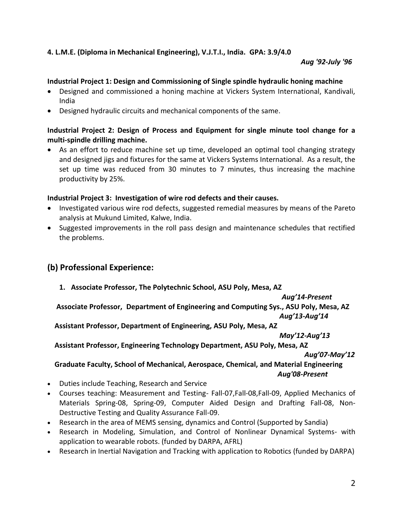### **4. L.M.E. (Diploma in Mechanical Engineering), V.J.T.I., India. GPA: 3.9/4.0**

#### *Aug '92-July '96*

### **Industrial Project 1: Design and Commissioning of Single spindle hydraulic honing machine**

- Designed and commissioned a honing machine at Vickers System International, Kandivali, India
- Designed hydraulic circuits and mechanical components of the same.

### **Industrial Project 2: Design of Process and Equipment for single minute tool change for a multi-spindle drilling machine.**

• As an effort to reduce machine set up time, developed an optimal tool changing strategy and designed jigs and fixtures for the same at Vickers Systems International. As a result, the set up time was reduced from 30 minutes to 7 minutes, thus increasing the machine productivity by 25%.

#### **Industrial Project 3: Investigation of wire rod defects and their causes.**

- Investigated various wire rod defects, suggested remedial measures by means of the Pareto analysis at Mukund Limited, Kalwe, India.
- Suggested improvements in the roll pass design and maintenance schedules that rectified the problems.

# **(b) Professional Experience:**

**1. Associate Professor, The Polytechnic School, ASU Poly, Mesa, AZ** 

*Aug'14-Present*

 **Associate Professor, Department of Engineering and Computing Sys., ASU Poly, Mesa, AZ**

*Aug'13-Aug'14*

 **Assistant Professor, Department of Engineering, ASU Poly, Mesa, AZ** 

*May'12-Aug'13*

# **Assistant Professor, Engineering Technology Department, ASU Poly, Mesa, AZ**

*Aug'07-May'12*

### **Graduate Faculty, School of Mechanical, Aerospace, Chemical, and Material Engineering**   *Aug'08-Present*

- Duties include Teaching, Research and Service
- Courses teaching: Measurement and Testing- Fall-07,Fall-08,Fall-09, Applied Mechanics of Materials Spring-08, Spring-09, Computer Aided Design and Drafting Fall-08, Non-Destructive Testing and Quality Assurance Fall-09.
- Research in the area of MEMS sensing, dynamics and Control (Supported by Sandia)
- Research in Modeling, Simulation, and Control of Nonlinear Dynamical Systems- with application to wearable robots. (funded by DARPA, AFRL)
- Research in Inertial Navigation and Tracking with application to Robotics (funded by DARPA)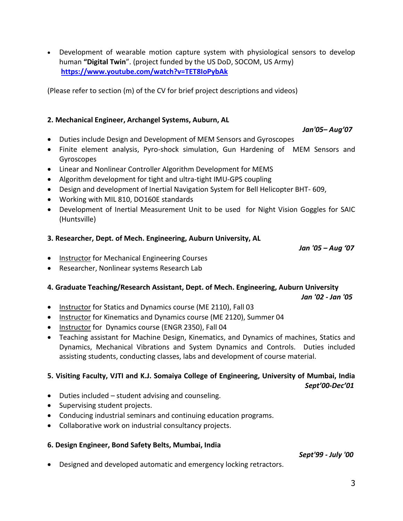• Development of wearable motion capture system with physiological sensors to develop human **"Digital Twin**". (project funded by the US DoD, SOCOM, US Army) **<https://www.youtube.com/watch?v=TET8IoPybAk>**

(Please refer to section (m) of the CV for brief project descriptions and videos)

### **2. Mechanical Engineer, Archangel Systems, Auburn, AL**

*Jan'05– Aug'07*

- Duties include Design and Development of MEM Sensors and Gyroscopes
- Finite element analysis, Pyro-shock simulation, Gun Hardening of MEM Sensors and Gyroscopes
- Linear and Nonlinear Controller Algorithm Development for MEMS
- Algorithm development for tight and ultra-tight IMU-GPS coupling
- Design and development of Inertial Navigation System for Bell Helicopter BHT- 609,
- Working with MIL 810, DO160E standards
- Development of Inertial Measurement Unit to be used for Night Vision Goggles for SAIC (Huntsville)

### **3. Researcher, Dept. of Mech. Engineering, Auburn University, AL**

*Jan '05 – Aug '07*

- Instructor for Mechanical Engineering Courses
- Researcher, Nonlinear systems Research Lab

# **4. Graduate Teaching/Research Assistant, Dept. of Mech. Engineering, Auburn University**

*Jan '02 - Jan '05* 

- Instructor for Statics and Dynamics course (ME 2110), Fall 03
- Instructor for Kinematics and Dynamics course (ME 2120), Summer 04
- Instructor for Dynamics course (ENGR 2350), Fall 04
- Teaching assistant for Machine Design, Kinematics, and Dynamics of machines, Statics and Dynamics, Mechanical Vibrations and System Dynamics and Controls. Duties included assisting students, conducting classes, labs and development of course material.

### **5. Visiting Faculty, VJTI and K.J. Somaiya College of Engineering, University of Mumbai, India** *Sept'00-Dec'01*

- Duties included student advising and counseling.
- Supervising student projects.
- Conducing industrial seminars and continuing education programs.
- Collaborative work on industrial consultancy projects.

### **6. Design Engineer, Bond Safety Belts, Mumbai, India**

*Sept'99 - July '00*

• Designed and developed automatic and emergency locking retractors.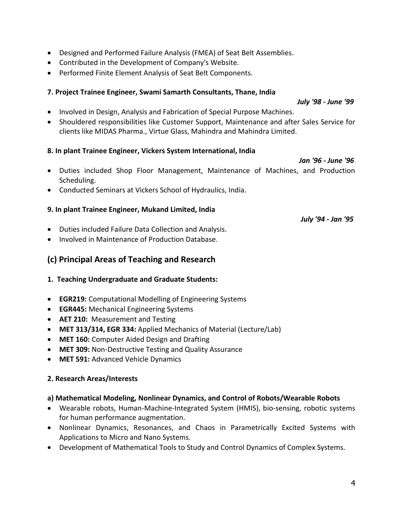- Designed and Performed Failure Analysis (FMEA) of Seat Belt Assemblies.
- Contributed in the Development of Company's Website.
- Performed Finite Element Analysis of Seat Belt Components.

### **7. Project Trainee Engineer, Swami Samarth Consultants, Thane, India**

*July '98 - June '99*

- Involved in Design, Analysis and Fabrication of Special Purpose Machines.
- Shouldered responsibilities like Customer Support, Maintenance and after Sales Service for clients like MIDAS Pharma., Virtue Glass, Mahindra and Mahindra Limited.

### **8. In plant Trainee Engineer, Vickers System International, India**

*Jan '96 - June '96*

- Duties included Shop Floor Management, Maintenance of Machines, and Production Scheduling.
- Conducted Seminars at Vickers School of Hydraulics, India.

### **9. In plant Trainee Engineer, Mukand Limited, India**

*July '94 - Jan '95*

- Duties included Failure Data Collection and Analysis.
- Involved in Maintenance of Production Database.

# **(c) Principal Areas of Teaching and Research**

### **1. Teaching Undergraduate and Graduate Students:**

- **EGR219:** Computational Modelling of Engineering Systems
- **EGR445:** Mechanical Engineering Systems
- **AET 210:** Measurement and Testing
- **MET 313/314, EGR 334:** Applied Mechanics of Material (Lecture/Lab)
- **MET 160:** Computer Aided Design and Drafting
- **MET 309:** Non-Destructive Testing and Quality Assurance
- **MET 591:** Advanced Vehicle Dynamics

### **2. Research Areas/Interests**

### **a) Mathematical Modeling, Nonlinear Dynamics, and Control of Robots/Wearable Robots**

- Wearable robots, Human-Machine-Integrated System (HMIS), bio-sensing, robotic systems for human performance augmentation.
- Nonlinear Dynamics, Resonances, and Chaos in Parametrically Excited Systems with Applications to Micro and Nano Systems.
- Development of Mathematical Tools to Study and Control Dynamics of Complex Systems.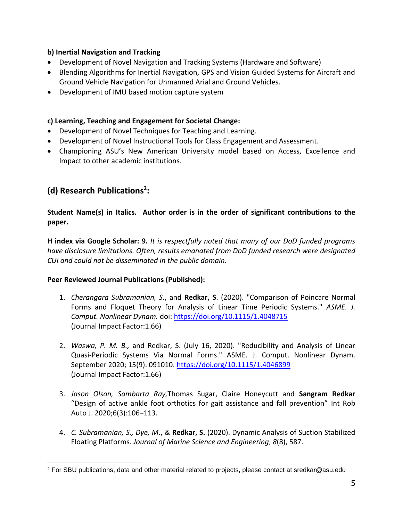### **b) Inertial Navigation and Tracking**

- Development of Novel Navigation and Tracking Systems (Hardware and Software)
- Blending Algorithms for Inertial Navigation, GPS and Vision Guided Systems for Aircraft and Ground Vehicle Navigation for Unmanned Arial and Ground Vehicles.
- Development of IMU based motion capture system

### **c) Learning, Teaching and Engagement for Societal Change:**

- Development of Novel Techniques for Teaching and Learning.
- Development of Novel Instructional Tools for Class Engagement and Assessment.
- Championing ASU's New American University model based on Access, Excellence and Impact to other academic institutions.

# **(d) Research Publications<sup>2</sup> :**

**Student Name(s) in Italics. Author order is in the order of significant contributions to the paper.**

**H index via Google Scholar: 9.** *It is respectfully noted that many of our DoD funded programs have disclosure limitations. Often, results emanated from DoD funded research were designated CUI and could not be disseminated in the public domain.*

### **Peer Reviewed Journal Publications (Published):**

- 1. *Cherangara Subramanian, S*., and **Redkar, S**. (2020). "Comparison of Poincare Normal Forms and Floquet Theory for Analysis of Linear Time Periodic Systems." *ASME. J. Comput. Nonlinear Dynam.* doi:<https://doi.org/10.1115/1.4048715> (Journal Impact Factor:1.66)
- 2. *Waswa, P. M. B.,* and Redkar, S. (July 16, 2020). "Reducibility and Analysis of Linear Quasi-Periodic Systems Via Normal Forms." ASME. J. Comput. Nonlinear Dynam. September 2020; 15(9): 091010.<https://doi.org/10.1115/1.4046899> (Journal Impact Factor:1.66)
- 3. *Jason Olson, Sambarta Ray,*Thomas Sugar, Claire Honeycutt and **Sangram Redkar** "Design of active ankle foot orthotics for gait assistance and fall prevention" Int Rob Auto J. 2020;6(3):106-113.
- 4. *C. Subramanian, S., Dye, M*., & **Redkar, S.** (2020). Dynamic Analysis of Suction Stabilized Floating Platforms. *Journal of Marine Science and Engineering*, *8*(8), 587.

<sup>2</sup> For SBU publications, data and other material related to projects, please contact at sredkar@asu.edu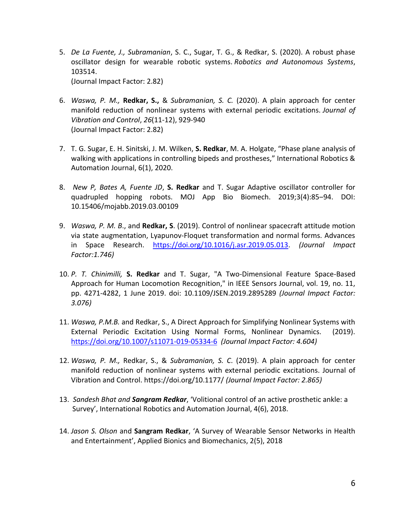- 5. *De La Fuente, J., Subramanian*, S. C., Sugar, T. G., & Redkar, S. (2020). A robust phase oscillator design for wearable robotic systems. *Robotics and Autonomous Systems*, 103514. (Journal Impact Factor: 2.82)
- 6. *Waswa, P. M.,* **Redkar, S.,** & *Subramanian, S. C.* (2020). A plain approach for center manifold reduction of nonlinear systems with external periodic excitations. *Journal of Vibration and Control*, *26*(11-12), 929-940 (Journal Impact Factor: 2.82)
- 7. T. G. Sugar, E. H. Sinitski, J. M. Wilken, **S. Redkar**, M. A. Holgate, "Phase plane analysis of walking with applications in controlling bipeds and prostheses," International Robotics & Automation Journal, 6(1), 2020.
- 8. *New P, Bates A, Fuente JD*, **S. Redkar** and T. Sugar Adaptive oscillator controller for quadrupled hopping robots. MOJ App Bio Biomech. 2019;3(4):85-94. DOI: 10.15406/mojabb.2019.03.00109
- 9. *Waswa, P. M. B*., and **Redkar, S**. (2019). Control of nonlinear spacecraft attitude motion via state augmentation, Lyapunov‐Floquet transformation and normal forms. Advances in Space Research. [https://doi.org/10.1016/j.asr.2019.05.013.](https://doi.org/10.1016/j.asr.2019.05.013) *(Journal Impact Factor:1.746)*
- 10. *P. T. Chinimilli,* **S. Redkar** and T. Sugar, "A Two-Dimensional Feature Space-Based Approach for Human Locomotion Recognition," in IEEE Sensors Journal, vol. 19, no. 11, pp. 4271-4282, 1 June 2019. doi: 10.1109/JSEN.2019.2895289 *(Journal Impact Factor: 3.076)*
- 11. *Waswa, P.M.B.* and Redkar, S., A Direct Approach for Simplifying Nonlinear Systems with External Periodic Excitation Using Normal Forms, Nonlinear Dynamics. (2019). <https://doi.org/10.1007/s11071-019-05334-6> *(Journal Impact Factor: 4.604)*
- 12. *Waswa, P. M.,* Redkar, S., & *Subramanian, S. C*. (2019). A plain approach for center manifold reduction of nonlinear systems with external periodic excitations. Journal of Vibration and Control. https://doi.org/10.1177/ *(Journal Impact Factor: 2.865)*
- 13. *Sandesh Bhat and Sangram Redkar*, 'Volitional control of an active prosthetic ankle: a Survey', International Robotics and Automation Journal, 4(6), 2018.
- 14. *Jason S. Olson* and **Sangram Redkar**, 'A Survey of Wearable Sensor Networks in Health and Entertainment', Applied Bionics and Biomechanics, 2(5), 2018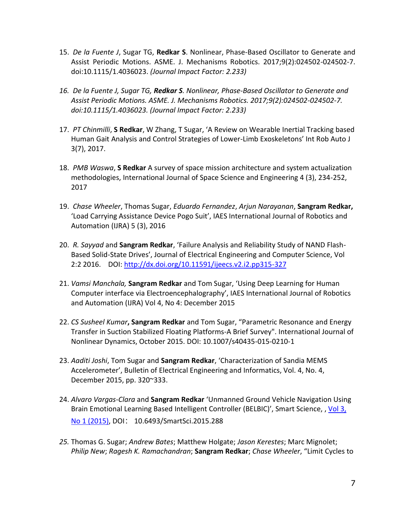- 15. *De la Fuente J*, Sugar TG, **Redkar S**. Nonlinear, Phase-Based Oscillator to Generate and Assist Periodic Motions. ASME. J. Mechanisms Robotics. 2017;9(2):024502-024502-7. doi:10.1115/1.4036023. *(Journal Impact Factor: 2.233)*
- *16. De la Fuente J, Sugar TG, Redkar S. Nonlinear, Phase-Based Oscillator to Generate and Assist Periodic Motions. ASME. J. Mechanisms Robotics. 2017;9(2):024502-024502-7. doi:10.1115/1.4036023. (Journal Impact Factor: 2.233)*
- 17. *PT Chinmilli*, **S Redkar**, W Zhang, T Sugar, 'A Review on Wearable Inertial Tracking based Human Gait Analysis and Control Strategies of Lower-Limb Exoskeletons' Int Rob Auto J 3(7), 2017.
- 18. *PMB Waswa*, **S Redkar** A survey of space mission architecture and system actualization methodologies, International Journal of Space Science and Engineering 4 (3), 234-252, 2017
- 19. *Chase Wheeler*, Thomas Sugar, *Eduardo Fernandez*, *Arjun Narayanan*, **Sangram Redkar,** 'Load Carrying Assistance Device Pogo Suit', IAES International Journal of Robotics and Automation (IJRA) 5 (3), 2016
- 20. *R. Sayyad* and **Sangram Redkar**, 'Failure Analysis and Reliability Study of NAND Flash-Based Solid-State Drives', Journal of Electrical Engineering and Computer Science, Vol 2:2 2016. DOI:<http://dx.doi.org/10.11591/ijeecs.v2.i2.pp315-327>
- 21. *Vamsi Manchala,* **Sangram Redkar** and Tom Sugar, 'Using Deep Learning for Human Computer interface via Electroencephalography', IAES International Journal of Robotics and Automation (IJRA) Vol 4, No 4: December 2015
- 22. *CS Susheel Kumar***, Sangram Redkar** and Tom Sugar, "Parametric Resonance and Energy Transfer in Suction Stabilized Floating Platforms-A Brief Survey". International Journal of Nonlinear Dynamics, October 2015. DOI: 10.1007/s40435-015-0210-1
- 23. *Aaditi Joshi*, Tom Sugar and **Sangram Redkar**, 'Characterization of Sandia MEMS Accelerometer', Bulletin of Electrical Engineering and Informatics, Vol. 4, No. 4, December 2015, pp. 320~333.
- 24. *Alvaro Vargas-Clara* and **Sangram Redkar** 'Unmanned Ground Vehicle Navigation Using Brain Emotional Learning Based Intelligent Controller (BELBIC)', Smart Science, , Vol 3, [No 1 \(2015\),](http://www.taeti.org/journal/index.php/smartsci/issue/view/36) DOI: 10.6493/SmartSci.2015.288
- *25.* Thomas G. Sugar; *Andrew Bates*; Matthew Holgate; *Jason Kerestes*; Marc Mignolet; *Philip New*; *Ragesh K. Ramachandran*; **Sangram Redkar**; *Chase Wheeler*, "Limit Cycles to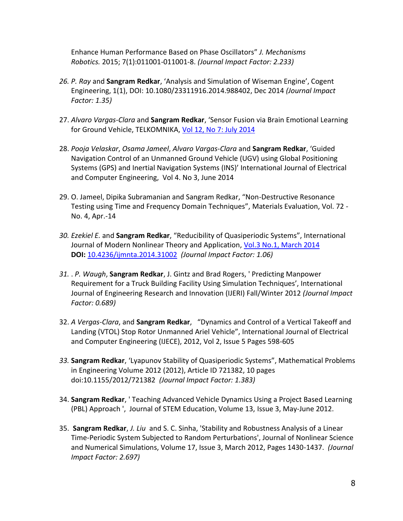Enhance Human Performance Based on Phase Oscillators" *J. Mechanisms Robotics.* 2015; 7(1):011001-011001-8. *(Journal Impact Factor: 2.233)*

- *26. P. Ray* and **Sangram Redkar**, 'Analysis and Simulation of Wiseman Engine', Cogent Engineering, 1(1), DOI: 10.1080/23311916.2014.988402, Dec 2014 *(Journal Impact Factor: 1.35)*
- 27. *Alvaro Vargas-Clara* and **Sangram Redkar**, 'Sensor Fusion via Brain Emotional Learning for Ground Vehicle, TELKOMNIKA, [Vol 12, No 7: July 2014](http://iaesjournal.com/online/index.php/TELKOMNIKA/issue/view/175)
- 28. *Pooja Velaskar*, *Osama Jameel*, *Alvaro Vargas-Clara* and **Sangram Redkar**, 'Guided Navigation Control of an Unmanned Ground Vehicle (UGV) using Global Positioning Systems (GPS) and Inertial Navigation Systems (INS)' International Journal of Electrical and Computer Engineering, Vol 4. No 3, June 2014
- 29. O. Jameel, Dipika Subramanian and Sangram Redkar, "Non-Destructive Resonance Testing using Time and Frequency Domain Techniques", Materials Evaluation, Vol. 72 - No. 4, Apr.-14
- *30. Ezekiel E.* and **Sangram Redkar**, "Reducibility of Quasiperiodic Systems", International Journal of Modern Nonlinear Theory and Application, [Vol.3 No.1, March 2014](http://www.scirp.org/journal/Home.aspx?IssueID=4543#43804) **DOI:** [10.4236/ijmnta.2014.31002](http://dx.doi.org/10.4236/ijmnta.2014.31002) *(Journal Impact Factor: 1.06)*
- *31.* . *P. Waugh*, **Sangram Redkar**, J. Gintz and Brad Rogers, ' Predicting Manpower Requirement for a Truck Building Facility Using Simulation Techniques', International Journal of Engineering Research and Innovation (IJERI) Fall/Winter 2012 *(Journal Impact Factor: 0.689)*
- 32. *A Vergas-Clara*, and **Sangram Redkar**, "Dynamics and Control of a Vertical Takeoff and Landing (VTOL) Stop Rotor Unmanned Ariel Vehicle", International Journal of Electrical and Computer Engineering (IJECE), 2012, Vol 2, Issue 5 Pages 598-605
- *33.* **Sangram Redkar**, 'Lyapunov Stability of Quasiperiodic Systems", Mathematical Problems in Engineering Volume 2012 (2012), Article ID 721382, 10 pages doi:10.1155/2012/721382 *(Journal Impact Factor: 1.383)*
- 34. **Sangram Redkar**, ' Teaching Advanced Vehicle Dynamics Using a Project Based Learning (PBL) Approach ', Journal of STEM Education, Volume 13, Issue 3, May-June 2012.
- 35. **Sangram Redkar**, *J. Liu* and S. C. Sinha, 'Stability and Robustness Analysis of a Linear Time-Periodic System Subjected to Random Perturbations', Journal of Nonlinear Science and Numerical Simulations, Volume 17, Issue 3, March 2012, Pages 1430-1437. *(Journal Impact Factor: 2.697)*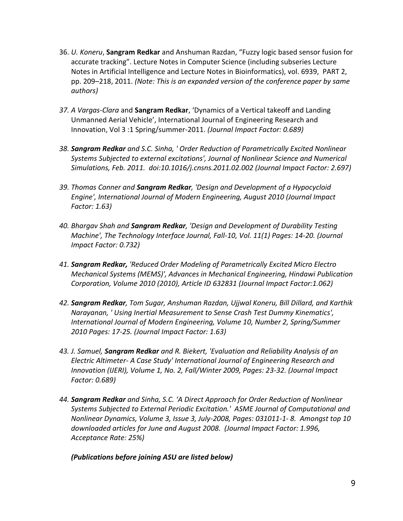- 36. *U. Koneru*, **Sangram Redkar** and Anshuman Razdan, "Fuzzy logic based sensor fusion for accurate tracking". Lecture Notes in Computer Science (including subseries Lecture Notes in Artificial Intelligence and Lecture Notes in Bioinformatics), vol. 6939, PART 2, pp. 209–218, 2011. *(Note: This is an expanded version of the conference paper by same authors)*
- *37. A Vargas-Clara* and **Sangram Redkar**, 'Dynamics of a Vertical takeoff and Landing Unmanned Aerial Vehicle', International Journal of Engineering Research and Innovation, Vol 3 :1 Spring/summer-2011. *(Journal Impact Factor: 0.689)*
- *38. Sangram Redkar and S.C. Sinha, ' Order Reduction of Parametrically Excited Nonlinear Systems Subjected to external excitations', Journal of Nonlinear Science and Numerical Simulations, Feb. 2011. doi:10.1016/j.cnsns.2011.02.002 (Journal Impact Factor: 2.697)*
- *39. Thomas Conner and Sangram Redkar, 'Design and Development of a Hypocycloid Engine', International Journal of Modern Engineering, August 2010 (Journal Impact Factor: 1.63)*
- *40. Bhargav Shah and Sangram Redkar, 'Design and Development of Durability Testing Machine', The Technology Interface Journal, Fall-10, Vol. 11(1) Pages: 14-20. (Journal Impact Factor: 0.732)*
- *41. Sangram Redkar, 'Reduced Order Modeling of Parametrically Excited Micro Electro Mechanical Systems (MEMS)', Advances in Mechanical Engineering, Hindawi Publication Corporation, Volume 2010 (2010), Article ID 632831 (Journal Impact Factor:1.062)*
- *42. Sangram Redkar, Tom Sugar, Anshuman Razdan, Ujjwal Koneru, Bill Dillard, and Karthik Narayanan, ' Using Inertial Measurement to Sense Crash Test Dummy Kinematics', International Journal of Modern Engineering, Volume 10, Number 2, Spring/Summer 2010 Pages: 17-25. (Journal Impact Factor: 1.63)*
- *43. J. Samuel, Sangram Redkar and R. Biekert, 'Evaluation and Reliability Analysis of an Electric Altimeter- A Case Study' International Journal of Engineering Research and Innovation (IJERI), Volume 1, No. 2, Fall/Winter 2009, Pages: 23-32. (Journal Impact Factor: 0.689)*
- *44. Sangram Redkar and Sinha, S.C. 'A Direct Approach for Order Reduction of Nonlinear Systems Subjected to External Periodic Excitation.' ASME Journal of Computational and Nonlinear Dynamics, Volume 3, Issue 3, July-2008, Pages: 031011-1- 8. Amongst top 10 downloaded articles for June and August 2008. (Journal Impact Factor: 1.996, Acceptance Rate: 25%)*

### *(Publications before joining ASU are listed below)*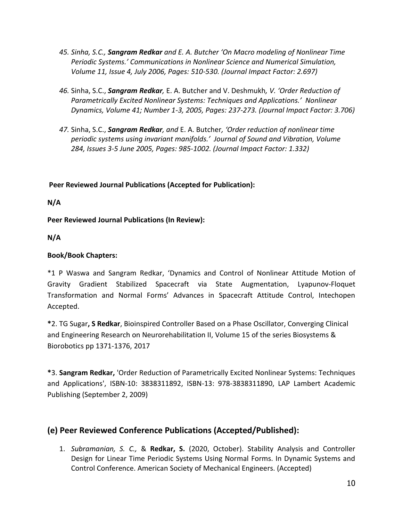- *45. Sinha, S.C., Sangram Redkar and E. A. Butcher 'On Macro modeling of Nonlinear Time Periodic Systems.' Communications in Nonlinear Science and Numerical Simulation, Volume 11, Issue 4, July 2006, Pages: 510-530. (Journal Impact Factor: 2.697)*
- *46.* Sinha, S.C., *Sangram Redkar,* E. A. Butcher and V. Deshmukh*, V. 'Order Reduction of Parametrically Excited Nonlinear Systems: Techniques and Applications.' Nonlinear Dynamics, Volume 41; Number 1-3, 2005, Pages: 237-273. (Journal Impact Factor: 3.706)*
- *47.* Sinha, S.C., *Sangram Redkar, and* E. A. Butcher*, 'Order reduction of nonlinear time periodic systems using invariant manifolds.' Journal of Sound and Vibration, Volume 284, Issues 3-5 June 2005, Pages: 985-1002. (Journal Impact Factor: 1.332)*

# **Peer Reviewed Journal Publications (Accepted for Publication):**

**N/A**

**Peer Reviewed Journal Publications (In Review):**

**N/A**

### **Book/Book Chapters:**

\*1 P Waswa and Sangram Redkar, 'Dynamics and Control of Nonlinear Attitude Motion of Gravity Gradient Stabilized Spacecraft via State Augmentation, Lyapunov-Floquet Transformation and Normal Forms' Advances in Spacecraft Attitude Control, Intechopen Accepted.

**\***2. TG Sugar**, S Redkar**, Bioinspired Controller Based on a Phase Oscillator, Converging Clinical and Engineering Research on Neurorehabilitation II, Volume 15 of the series Biosystems & Biorobotics pp 1371-1376, 2017

**\***3. **Sangram Redkar,** 'Order Reduction of Parametrically Excited Nonlinear Systems: Techniques and Applications', ISBN-10: 3838311892, ISBN-13: 978-3838311890, LAP Lambert Academic Publishing (September 2, 2009)

# **(e) Peer Reviewed Conference Publications (Accepted/Published):**

1. *Subramanian, S. C.,* & **Redkar, S.** (2020, October). Stability Analysis and Controller Design for Linear Time Periodic Systems Using Normal Forms. In Dynamic Systems and Control Conference. American Society of Mechanical Engineers. (Accepted)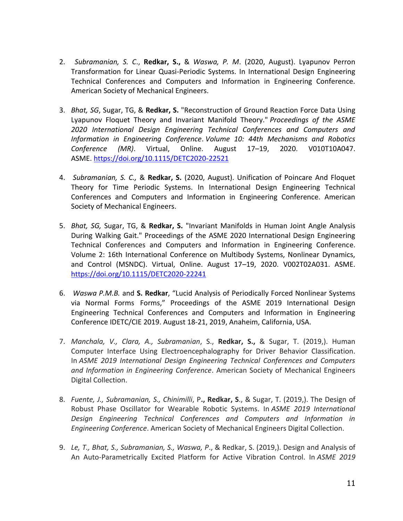- 2. *Subramanian, S. C*., **Redkar, S.,** & *Waswa, P. M*. (2020, August). Lyapunov Perron Transformation for Linear Quasi-Periodic Systems. In International Design Engineering Technical Conferences and Computers and Information in Engineering Conference. American Society of Mechanical Engineers.
- 3. *Bhat, SG*, Sugar, TG, & **Redkar, S.** "Reconstruction of Ground Reaction Force Data Using Lyapunov Floquet Theory and Invariant Manifold Theory." *Proceedings of the ASME 2020 International Design Engineering Technical Conferences and Computers and Information in Engineering Conference*. *Volume 10: 44th Mechanisms and Robotics Conference (MR)*. Virtual, Online. August 17–19, 2020. V010T10A047. ASME. <https://doi.org/10.1115/DETC2020-22521>
- 4. *Subramanian, S. C.,* & **Redkar, S.** (2020, August). Unification of Poincare And Floquet Theory for Time Periodic Systems. In International Design Engineering Technical Conferences and Computers and Information in Engineering Conference. American Society of Mechanical Engineers.
- 5. *Bhat, SG,* Sugar, TG, & **Redkar, S.** "Invariant Manifolds in Human Joint Angle Analysis During Walking Gait." Proceedings of the ASME 2020 International Design Engineering Technical Conferences and Computers and Information in Engineering Conference. Volume 2: 16th International Conference on Multibody Systems, Nonlinear Dynamics, and Control (MSNDC). Virtual, Online. August 17–19, 2020. V002T02A031. ASME. <https://doi.org/10.1115/DETC2020-22241>
- 6. *Waswa P.M.B.* and **S. Redkar**, "Lucid Analysis of Periodically Forced Nonlinear Systems via Normal Forms Forms," Proceedings of the ASME 2019 International Design Engineering Technical Conferences and Computers and Information in Engineering Conference IDETC/CIE 2019. August 18‐21, 2019, Anaheim, California, USA.
- 7. *Manchala, V., Clara, A., Subramanian*, S., **Redkar, S.,** & Sugar, T. (2019,). Human Computer Interface Using Electroencephalography for Driver Behavior Classification. In *ASME 2019 International Design Engineering Technical Conferences and Computers and Information in Engineering Conference*. American Society of Mechanical Engineers Digital Collection.
- 8. *Fuente, J., Subramanian, S., Chinimilli*, P**., Redkar, S**., & Sugar, T. (2019,). The Design of Robust Phase Oscillator for Wearable Robotic Systems. In *ASME 2019 International Design Engineering Technical Conferences and Computers and Information in Engineering Conference*. American Society of Mechanical Engineers Digital Collection.
- 9. *Le, T., Bhat, S., Subramanian, S., Waswa, P*., & Redkar, S. (2019,). Design and Analysis of An Auto-Parametrically Excited Platform for Active Vibration Control. In *ASME 2019*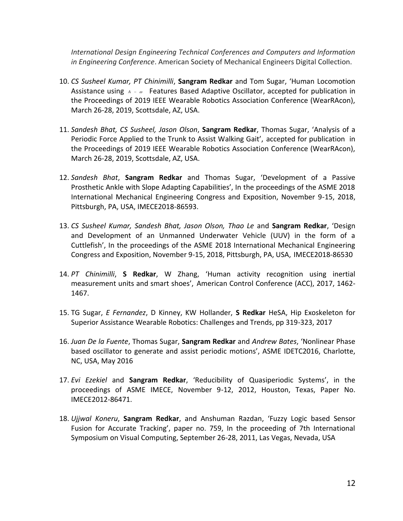*International Design Engineering Technical Conferences and Computers and Information in Engineering Conference*. American Society of Mechanical Engineers Digital Collection.

- 10. *CS Susheel Kumar, PT Chinimilli*, **Sangram Redkar** and Tom Sugar, 'Human Locomotion Assistance using <sub>A - ∞</sub> Features Based Adaptive Oscillator, accepted for publication in the Proceedings of 2019 IEEE Wearable Robotics Association Conference (WearRAcon), March 26-28, 2019, Scottsdale, AZ, USA.
- 11. *Sandesh Bhat, CS Susheel, Jason Olson*, **Sangram Redkar**, Thomas Sugar, 'Analysis of a Periodic Force Applied to the Trunk to Assist Walking Gait', accepted for publication in the Proceedings of 2019 IEEE Wearable Robotics Association Conference (WearRAcon), March 26-28, 2019, Scottsdale, AZ, USA.
- 12. *Sandesh Bhat*, **Sangram Redkar** and Thomas Sugar, 'Development of a Passive Prosthetic Ankle with Slope Adapting Capabilities', In the proceedings of the ASME 2018 International Mechanical Engineering Congress and Exposition, November 9-15, 2018, Pittsburgh, PA, USA, IMECE2018-86593.
- 13. *CS Susheel Kumar, Sandesh Bhat, Jason Olson, Thao Le* and **Sangram Redkar**, 'Design and Development of an Unmanned Underwater Vehicle (UUV) in the form of a Cuttlefish', In the proceedings of the ASME 2018 International Mechanical Engineering Congress and Exposition, November 9-15, 2018, Pittsburgh, PA, USA, IMECE2018-86530
- 14. *PT Chinimilli*, **S Redkar**, W Zhang, 'Human activity recognition using inertial measurement units and smart shoes', American Control Conference (ACC), 2017, 1462- 1467.
- 15. TG Sugar, *E Fernandez*, D Kinney, KW Hollander, **S Redkar** HeSA, Hip Exoskeleton for Superior Assistance Wearable Robotics: Challenges and Trends, pp 319-323, 2017
- 16. *Juan De la Fuente*, Thomas Sugar, **Sangram Redkar** and *Andrew Bates*, 'Nonlinear Phase based oscillator to generate and assist periodic motions', ASME IDETC2016, Charlotte, NC, USA, May 2016
- 17. *Evi Ezekiel* and **Sangram Redkar**, 'Reducibility of Quasiperiodic Systems', in the proceedings of ASME IMECE, November 9-12, 2012, Houston, Texas, Paper No. IMECE2012-86471.
- 18. *Ujjwal Koneru*, **Sangram Redkar**, and Anshuman Razdan, 'Fuzzy Logic based Sensor Fusion for Accurate Tracking', paper no. 759, In the proceeding of 7th International Symposium on Visual Computing, September 26-28, 2011, Las Vegas, Nevada, USA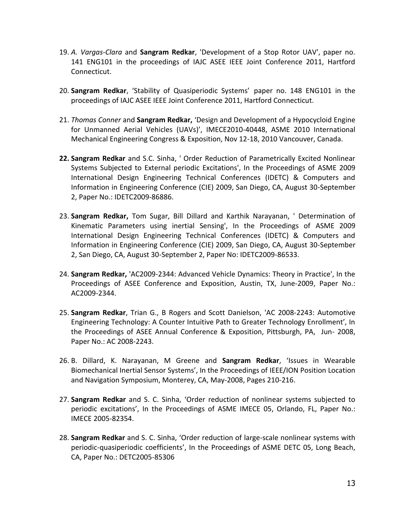- 19. *A. Vargas-Clara* and **Sangram Redkar**, 'Development of a Stop Rotor UAV', paper no. 141 ENG101 in the proceedings of IAJC ASEE IEEE Joint Conference 2011, Hartford Connecticut.
- 20. **Sangram Redkar**, 'Stability of Quasiperiodic Systems' paper no. 148 ENG101 in the proceedings of IAJC ASEE IEEE Joint Conference 2011, Hartford Connecticut.
- 21. *Thomas Conner* and **Sangram Redkar,** 'Design and Development of a Hypocycloid Engine for Unmanned Aerial Vehicles (UAVs)', IMECE2010-40448, ASME 2010 International Mechanical Engineering Congress & Exposition, Nov 12-18, 2010 Vancouver, Canada.
- **22. Sangram Redkar** and S.C. Sinha, ' Order Reduction of Parametrically Excited Nonlinear Systems Subjected to External periodic Excitations', In the Proceedings of ASME 2009 International Design Engineering Technical Conferences (IDETC) & Computers and Information in Engineering Conference (CIE) 2009, San Diego, CA, August 30-September 2, Paper No.: IDETC2009-86886.
- 23. **Sangram Redkar,** Tom Sugar, Bill Dillard and Karthik Narayanan, ' Determination of Kinematic Parameters using inertial Sensing', In the Proceedings of ASME 2009 International Design Engineering Technical Conferences (IDETC) & Computers and Information in Engineering Conference (CIE) 2009, San Diego, CA, August 30-September 2, San Diego, CA, August 30-September 2, Paper No: IDETC2009-86533.
- 24. **Sangram Redkar,** 'AC2009-2344: Advanced Vehicle Dynamics: Theory in Practice', In the Proceedings of ASEE Conference and Exposition, Austin, TX, June-2009, Paper No.: AC2009-2344.
- 25. **Sangram Redkar**, Trian G., B Rogers and Scott Danielson, 'AC 2008-2243: Automotive Engineering Technology: A Counter Intuitive Path to Greater Technology Enrollment', In the Proceedings of ASEE Annual Conference & Exposition, Pittsburgh, PA, Jun- 2008, Paper No.: AC 2008-2243.
- 26. B. Dillard, K. Narayanan, M Greene and **Sangram Redkar**, 'Issues in Wearable Biomechanical Inertial Sensor Systems', In the Proceedings of IEEE/ION Position Location and Navigation Symposium, Monterey, CA, May-2008, Pages 210-216.
- 27. **Sangram Redkar** and S. C. Sinha, 'Order reduction of nonlinear systems subjected to periodic excitations', In the Proceedings of ASME IMECE 05, Orlando, FL, Paper No.: IMECE 2005-82354.
- 28. **Sangram Redkar** and S. C. Sinha, 'Order reduction of large-scale nonlinear systems with periodic-quasiperiodic coefficients', In the Proceedings of ASME DETC 05, Long Beach, CA, Paper No.: DETC2005-85306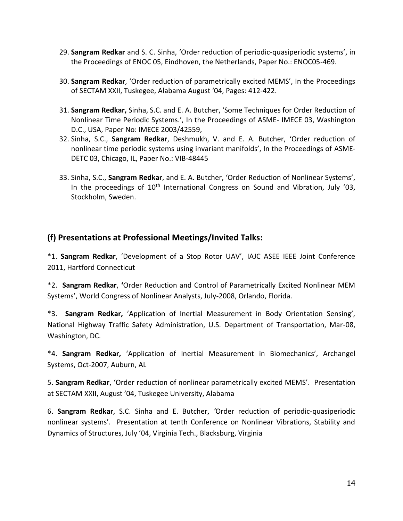- 29. **Sangram Redkar** and S. C. Sinha, 'Order reduction of periodic-quasiperiodic systems', in the Proceedings of ENOC 05, Eindhoven, the Netherlands, Paper No.: ENOC05-469.
- 30. **Sangram Redkar**, 'Order reduction of parametrically excited MEMS', In the Proceedings of SECTAM XXII, Tuskegee, Alabama August '04, Pages: 412-422.
- 31. **Sangram Redkar,** Sinha, S.C. and E. A. Butcher, 'Some Techniques for Order Reduction of Nonlinear Time Periodic Systems.', In the Proceedings of ASME- IMECE 03, Washington D.C., USA, Paper No: IMECE 2003/42559,
- 32. Sinha, S.C., **Sangram Redkar**, Deshmukh, V. and E. A. Butcher, 'Order reduction of nonlinear time periodic systems using invariant manifolds', In the Proceedings of ASME-DETC 03, Chicago, IL, Paper No.: VIB-48445
- 33. Sinha, S.C., **Sangram Redkar**, and E. A. Butcher, 'Order Reduction of Nonlinear Systems', In the proceedings of 10<sup>th</sup> International Congress on Sound and Vibration, July '03, Stockholm, Sweden.

# **(f) Presentations at Professional Meetings/Invited Talks:**

\*1. **Sangram Redkar**, 'Development of a Stop Rotor UAV', IAJC ASEE IEEE Joint Conference 2011, Hartford Connecticut

\*2. **Sangram Redkar**, **'**Order Reduction and Control of Parametrically Excited Nonlinear MEM Systems', World Congress of Nonlinear Analysts, July-2008, Orlando, Florida.

\*3. **Sangram Redkar,** 'Application of Inertial Measurement in Body Orientation Sensing', National Highway Traffic Safety Administration, U.S. Department of Transportation, Mar-08, Washington, DC.

\*4. **Sangram Redkar,** 'Application of Inertial Measurement in Biomechanics', Archangel Systems, Oct-2007, Auburn, AL

5. **Sangram Redkar**, 'Order reduction of nonlinear parametrically excited MEMS'*.* Presentation at SECTAM XXII, August '04, Tuskegee University, Alabama

6. **Sangram Redkar**, S.C. Sinha and E. Butcher, *'*Order reduction of periodic-quasiperiodic nonlinear systems'. Presentation at tenth Conference on Nonlinear Vibrations, Stability and Dynamics of Structures, July '04, Virginia Tech., Blacksburg, Virginia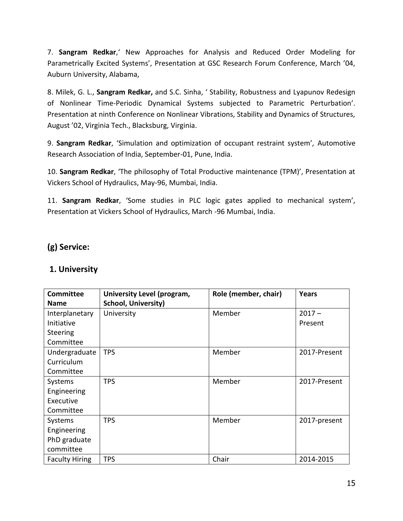7. **Sangram Redkar**,' New Approaches for Analysis and Reduced Order Modeling for Parametrically Excited Systems', Presentation at GSC Research Forum Conference, March '04, Auburn University, Alabama,

8. Milek, G. L., **Sangram Redkar,** and S.C. Sinha, ' Stability, Robustness and Lyapunov Redesign of Nonlinear Time-Periodic Dynamical Systems subjected to Parametric Perturbation'. Presentation at ninth Conference on Nonlinear Vibrations, Stability and Dynamics of Structures, August '02, Virginia Tech., Blacksburg, Virginia.

9. **Sangram Redkar**, 'Simulation and optimization of occupant restraint system'*,* Automotive Research Association of India, September-01, Pune, India.

10. **Sangram Redkar**, 'The philosophy of Total Productive maintenance (TPM)', Presentation at Vickers School of Hydraulics, May-96, Mumbai, India.

11. **Sangram Redkar**, 'Some studies in PLC logic gates applied to mechanical system', Presentation at Vickers School of Hydraulics, March -96 Mumbai, India.

# **(g) Service:**

# **1. University**

| <b>Committee</b>      | University Level (program, | Role (member, chair) | Years        |
|-----------------------|----------------------------|----------------------|--------------|
| <b>Name</b>           | <b>School, University)</b> |                      |              |
| Interplanetary        | University                 | Member               | $2017 -$     |
| Initiative            |                            |                      | Present      |
| Steering              |                            |                      |              |
| Committee             |                            |                      |              |
| Undergraduate         | <b>TPS</b>                 | Member               | 2017-Present |
| Curriculum            |                            |                      |              |
| Committee             |                            |                      |              |
| Systems               | <b>TPS</b>                 | Member               | 2017-Present |
| Engineering           |                            |                      |              |
| Executive             |                            |                      |              |
| Committee             |                            |                      |              |
| Systems               | <b>TPS</b>                 | Member               | 2017-present |
| Engineering           |                            |                      |              |
| PhD graduate          |                            |                      |              |
| committee             |                            |                      |              |
| <b>Faculty Hiring</b> | <b>TPS</b>                 | Chair                | 2014-2015    |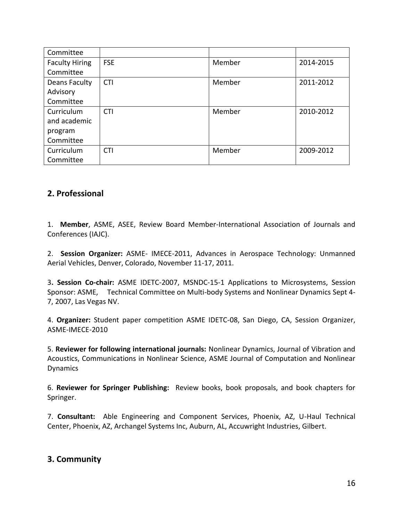| Committee             |            |        |           |
|-----------------------|------------|--------|-----------|
| <b>Faculty Hiring</b> | <b>FSE</b> | Member | 2014-2015 |
| Committee             |            |        |           |
| Deans Faculty         | <b>CTI</b> | Member | 2011-2012 |
| Advisory              |            |        |           |
| Committee             |            |        |           |
| Curriculum            | <b>CTI</b> | Member | 2010-2012 |
| and academic          |            |        |           |
| program               |            |        |           |
| Committee             |            |        |           |
| Curriculum            | <b>CTI</b> | Member | 2009-2012 |
| Committee             |            |        |           |

# **2. Professional**

1. **Member**, ASME, ASEE, Review Board Member-International Association of Journals and Conferences (IAJC).

2. **Session Organizer:** ASME- IMECE-2011, Advances in Aerospace Technology: Unmanned Aerial Vehicles, Denver, Colorado, November 11-17, 2011.

3**. Session Co-chair:** ASME IDETC-2007, MSNDC-15-1 Applications to Microsystems, Session Sponsor: ASME, Technical Committee on Multi-body Systems and Nonlinear Dynamics Sept 4- 7, 2007, Las Vegas NV.

4. **Organizer:** Student paper competition ASME IDETC-08, San Diego, CA, Session Organizer, ASME-IMECE-2010

5. **Reviewer for following international journals:** Nonlinear Dynamics, Journal of Vibration and Acoustics, Communications in Nonlinear Science, ASME Journal of Computation and Nonlinear Dynamics

6. **Reviewer for Springer Publishing:** Review books, book proposals, and book chapters for Springer.

7. **Consultant:** Able Engineering and Component Services, Phoenix, AZ, U-Haul Technical Center, Phoenix, AZ, Archangel Systems Inc, Auburn, AL, Accuwright Industries, Gilbert.

# **3. Community**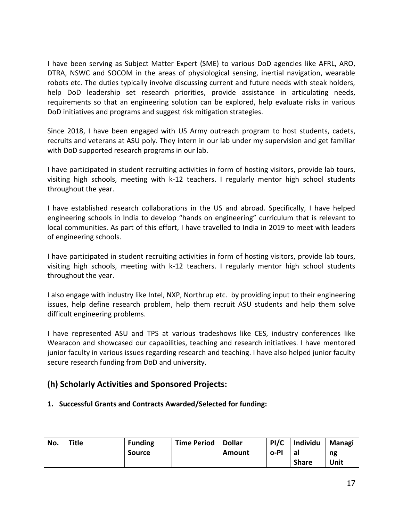I have been serving as Subject Matter Expert (SME) to various DoD agencies like AFRL, ARO, DTRA, NSWC and SOCOM in the areas of physiological sensing, inertial navigation, wearable robots etc. The duties typically involve discussing current and future needs with steak holders, help DoD leadership set research priorities, provide assistance in articulating needs, requirements so that an engineering solution can be explored, help evaluate risks in various DoD initiatives and programs and suggest risk mitigation strategies.

Since 2018, I have been engaged with US Army outreach program to host students, cadets, recruits and veterans at ASU poly. They intern in our lab under my supervision and get familiar with DoD supported research programs in our lab.

I have participated in student recruiting activities in form of hosting visitors, provide lab tours, visiting high schools, meeting with k-12 teachers. I regularly mentor high school students throughout the year.

I have established research collaborations in the US and abroad. Specifically, I have helped engineering schools in India to develop "hands on engineering" curriculum that is relevant to local communities. As part of this effort, I have travelled to India in 2019 to meet with leaders of engineering schools.

I have participated in student recruiting activities in form of hosting visitors, provide lab tours, visiting high schools, meeting with k-12 teachers. I regularly mentor high school students throughout the year.

I also engage with industry like Intel, NXP, Northrup etc. by providing input to their engineering issues, help define research problem, help them recruit ASU students and help them solve difficult engineering problems.

I have represented ASU and TPS at various tradeshows like CES, industry conferences like Wearacon and showcased our capabilities, teaching and research initiatives. I have mentored junior faculty in various issues regarding research and teaching. I have also helped junior faculty secure research funding from DoD and university.

# **(h) Scholarly Activities and Sponsored Projects:**

### **1. Successful Grants and Contracts Awarded/Selected for funding:**

| No. | Title | <b>Funding</b> | Time Period   Dollar |        | PI/C | <b>Individu</b> | Managi |
|-----|-------|----------------|----------------------|--------|------|-----------------|--------|
|     |       | <b>Source</b>  |                      | Amount | o-Pl | a.              | ng     |
|     |       |                |                      |        |      | <b>Share</b>    | Unit   |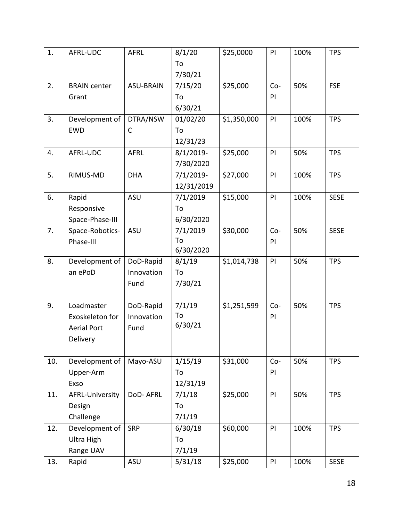| 1.  | AFRL-UDC                                                        | <b>AFRL</b>                     | 8/1/20<br>To<br>7/30/21     | \$25,0000   | PI          | 100% | <b>TPS</b>  |
|-----|-----------------------------------------------------------------|---------------------------------|-----------------------------|-------------|-------------|------|-------------|
| 2.  | <b>BRAIN center</b><br>Grant                                    | <b>ASU-BRAIN</b>                | 7/15/20<br>To<br>6/30/21    | \$25,000    | $Co-$<br>PI | 50%  | <b>FSE</b>  |
| 3.  | Development of<br><b>EWD</b>                                    | DTRA/NSW<br>C                   | 01/02/20<br>To<br>12/31/23  | \$1,350,000 | PI          | 100% | <b>TPS</b>  |
| 4.  | AFRL-UDC                                                        | <b>AFRL</b>                     | $8/1/2019$ -<br>7/30/2020   | \$25,000    | PI          | 50%  | <b>TPS</b>  |
| 5.  | RIMUS-MD                                                        | <b>DHA</b>                      | $7/1/2019$ -<br>12/31/2019  | \$27,000    | PI          | 100% | <b>TPS</b>  |
| 6.  | Rapid<br>Responsive<br>Space-Phase-III                          | <b>ASU</b>                      | 7/1/2019<br>To<br>6/30/2020 | \$15,000    | PI          | 100% | <b>SESE</b> |
| 7.  | Space-Robotics-<br>Phase-III                                    | <b>ASU</b>                      | 7/1/2019<br>To<br>6/30/2020 | \$30,000    | $Co-$<br>PI | 50%  | <b>SESE</b> |
| 8.  | Development of<br>an ePoD                                       | DoD-Rapid<br>Innovation<br>Fund | 8/1/19<br>To<br>7/30/21     | \$1,014,738 | PI          | 50%  | <b>TPS</b>  |
| 9.  | Loadmaster<br>Exoskeleton for<br><b>Aerial Port</b><br>Delivery | DoD-Rapid<br>Innovation<br>Fund | 7/1/19<br>To<br>6/30/21     | \$1,251,599 | $Co-$<br>PI | 50%  | <b>TPS</b>  |
| 10. | Development of<br>Upper-Arm<br>Exso                             | Mayo-ASU                        | 1/15/19<br>To<br>12/31/19   | \$31,000    | $Co-$<br>PI | 50%  | <b>TPS</b>  |
| 11. | AFRL-University<br>Design<br>Challenge                          | DoD-AFRL                        | 7/1/18<br>To<br>7/1/19      | \$25,000    | PI          | 50%  | <b>TPS</b>  |
| 12. | Development of<br>Ultra High<br>Range UAV                       | <b>SRP</b>                      | 6/30/18<br>To<br>7/1/19     | \$60,000    | PI          | 100% | <b>TPS</b>  |
| 13. | Rapid                                                           | <b>ASU</b>                      | 5/31/18                     | \$25,000    | PI          | 100% | <b>SESE</b> |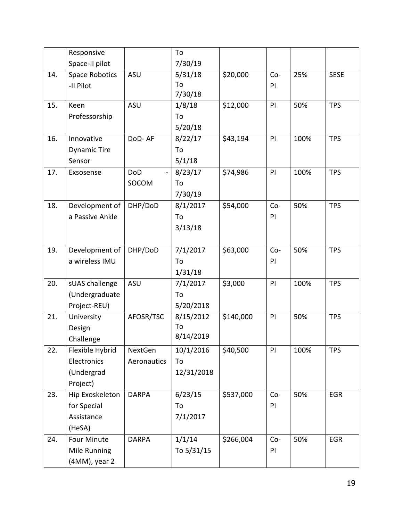|     | Responsive                                               |                        | To                            |           |             |      |             |
|-----|----------------------------------------------------------|------------------------|-------------------------------|-----------|-------------|------|-------------|
|     | Space-II pilot                                           |                        | 7/30/19                       |           |             |      |             |
| 14. | <b>Space Robotics</b><br>-II Pilot                       | <b>ASU</b>             | 5/31/18<br>To<br>7/30/18      | \$20,000  | $Co-$<br>PI | 25%  | <b>SESE</b> |
| 15. | Keen<br>Professorship                                    | <b>ASU</b>             | 1/8/18<br>To<br>5/20/18       | \$12,000  | PI          | 50%  | <b>TPS</b>  |
| 16. | Innovative<br><b>Dynamic Tire</b><br>Sensor              | DoD-AF                 | 8/22/17<br>To<br>5/1/18       | \$43,194  | PI          | 100% | <b>TPS</b>  |
| 17. | Exsosense                                                | <b>DoD</b><br>SOCOM    | 8/23/17<br>To<br>7/30/19      | \$74,986  | PI          | 100% | <b>TPS</b>  |
| 18. | Development of<br>a Passive Ankle                        | DHP/DoD                | 8/1/2017<br>To<br>3/13/18     | \$54,000  | $Co-$<br>PI | 50%  | <b>TPS</b>  |
| 19. | Development of<br>a wireless IMU                         | DHP/DoD                | 7/1/2017<br>To<br>1/31/18     | \$63,000  | $Co-$<br>PI | 50%  | <b>TPS</b>  |
| 20. | sUAS challenge<br>(Undergraduate<br>Project-REU)         | <b>ASU</b>             | 7/1/2017<br>To<br>5/20/2018   | \$3,000   | PI          | 100% | <b>TPS</b>  |
| 21. | University<br>Design<br>Challenge                        | AFOSR/TSC              | 8/15/2012<br>To<br>8/14/2019  | \$140,000 | PI          | 50%  | <b>TPS</b>  |
| 22. | Flexible Hybrid<br>Electronics<br>(Undergrad<br>Project) | NextGen<br>Aeronautics | 10/1/2016<br>To<br>12/31/2018 | \$40,500  | PI          | 100% | <b>TPS</b>  |
| 23. | Hip Exoskeleton<br>for Special<br>Assistance<br>(HeSA)   | <b>DARPA</b>           | 6/23/15<br>To<br>7/1/2017     | \$537,000 | $Co-$<br>PI | 50%  | EGR         |
| 24. | Four Minute<br>Mile Running<br>(4MM), year 2             | <b>DARPA</b>           | 1/1/14<br>To 5/31/15          | \$266,004 | $Co-$<br>PI | 50%  | <b>EGR</b>  |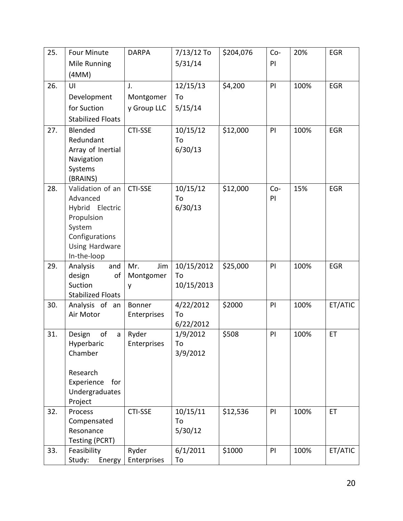| 25. | <b>Four Minute</b>              | <b>DARPA</b>         | $7/13/12$ To     | \$204,076 | Co-         | 20%  | <b>EGR</b> |
|-----|---------------------------------|----------------------|------------------|-----------|-------------|------|------------|
|     | Mile Running                    |                      | 5/31/14          |           | PI          |      |            |
|     | (4MM)                           |                      |                  |           |             |      |            |
| 26. | UI                              | J.                   | 12/15/13         | \$4,200   | PI          | 100% | EGR        |
|     | Development                     | Montgomer            | To               |           |             |      |            |
|     | for Suction                     | y Group LLC          | 5/15/14          |           |             |      |            |
|     | <b>Stabilized Floats</b>        |                      |                  |           |             |      |            |
| 27. | Blended                         | <b>CTI-SSE</b>       | 10/15/12         | \$12,000  | PI          | 100% | EGR        |
|     | Redundant                       |                      | To               |           |             |      |            |
|     | Array of Inertial               |                      | 6/30/13          |           |             |      |            |
|     | Navigation                      |                      |                  |           |             |      |            |
|     | Systems                         |                      |                  |           |             |      |            |
|     | (BRAINS)                        |                      |                  |           |             |      |            |
| 28. | Validation of an<br>Advanced    | <b>CTI-SSE</b>       | 10/15/12<br>To   | \$12,000  | $Co-$<br>PI | 15%  | <b>EGR</b> |
|     | Hybrid Electric                 |                      | 6/30/13          |           |             |      |            |
|     | Propulsion                      |                      |                  |           |             |      |            |
|     | System                          |                      |                  |           |             |      |            |
|     | Configurations                  |                      |                  |           |             |      |            |
|     | <b>Using Hardware</b>           |                      |                  |           |             |      |            |
|     | In-the-loop                     |                      |                  |           |             |      |            |
| 29. | Analysis<br>and                 | Mr.<br>Jim           | 10/15/2012       | \$25,000  | PI          | 100% | <b>EGR</b> |
|     | design<br>οf<br>Suction         | Montgomer<br>y       | To<br>10/15/2013 |           |             |      |            |
|     | <b>Stabilized Floats</b>        |                      |                  |           |             |      |            |
| 30. | Analysis of an                  | Bonner               | 4/22/2012        | \$2000    | PI          | 100% | ET/ATIC    |
|     | Air Motor                       | Enterprises          | To               |           |             |      |            |
|     |                                 |                      | 6/22/2012        |           |             |      |            |
| 31. | of<br>Design<br>a               | Ryder                | 1/9/2012         | \$508     | PI          | 100% | ET         |
|     | Hyperbaric                      | <b>Enterprises</b>   | 10               |           |             |      |            |
|     | Chamber                         |                      | 3/9/2012         |           |             |      |            |
|     | Research                        |                      |                  |           |             |      |            |
|     | Experience<br>for               |                      |                  |           |             |      |            |
|     | Undergraduates                  |                      |                  |           |             |      |            |
|     | Project                         |                      |                  |           |             |      |            |
| 32. | Process                         | <b>CTI-SSE</b>       | 10/15/11         | \$12,536  | PI          | 100% | ET         |
|     | Compensated                     |                      | To               |           |             |      |            |
|     | Resonance                       |                      | 5/30/12          |           |             |      |            |
|     | Testing (PCRT)                  |                      |                  |           |             |      |            |
| 33. | Feasibility<br>Study:<br>Energy | Ryder<br>Enterprises | 6/1/2011<br>To   | \$1000    | PI          | 100% | ET/ATIC    |
|     |                                 |                      |                  |           |             |      |            |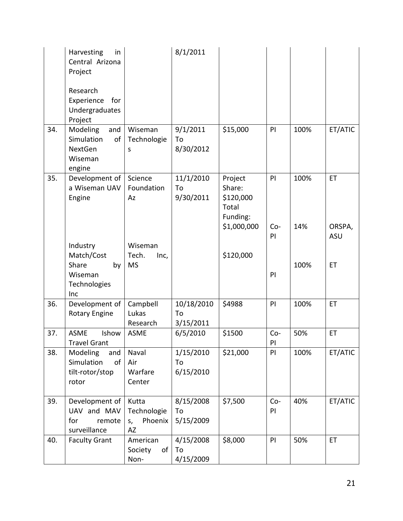|     | Harvesting<br>in<br>Central Arizona<br>Project                             |                                             | 8/1/2011                      |                                                     |              |      |               |
|-----|----------------------------------------------------------------------------|---------------------------------------------|-------------------------------|-----------------------------------------------------|--------------|------|---------------|
|     | Research<br>Experience<br>for<br>Undergraduates<br>Project                 |                                             |                               |                                                     |              |      |               |
| 34. | Modeling<br>and<br>Simulation<br>of<br><b>NextGen</b><br>Wiseman<br>engine | Wiseman<br>Technologie<br>S                 | 9/1/2011<br>To<br>8/30/2012   | \$15,000                                            | PI           | 100% | ET/ATIC       |
| 35. | Development of<br>a Wiseman UAV<br>Engine                                  | Science<br>Foundation<br>Az                 | 11/1/2010<br>To<br>9/30/2011  | Project<br>Share:<br>\$120,000<br>Total<br>Funding: | PI           | 100% | ET            |
|     |                                                                            |                                             |                               | \$1,000,000                                         | $Co-$<br>PI  | 14%  | ORSPA,<br>ASU |
|     | Industry<br>Match/Cost<br>Share                                            | Wiseman<br>Tech.<br>Inc,<br><b>MS</b>       |                               | \$120,000                                           |              | 100% | ET            |
|     | by<br>Wiseman<br>Technologies<br>Inc                                       |                                             |                               |                                                     | PI           |      |               |
| 36. | Development of<br><b>Rotary Engine</b>                                     | Campbell<br>Lukas<br>Research               | 10/18/2010<br>To<br>3/15/2011 | \$4988                                              | PI           | 100% | ET            |
| 37. | <b>ASME</b><br>Ishow<br>Travel Grant                                       | <b>ASME</b>                                 | 6/5/2010                      | \$1500                                              | $Co-$<br>PI. | 50%  | ET            |
| 38. | Modeling<br>and<br>Simulation<br>of<br>tilt-rotor/stop<br>rotor            | Naval<br>Air<br>Warfare<br>Center           | 1/15/2010<br>To<br>6/15/2010  | \$21,000                                            | PI           | 100% | ET/ATIC       |
| 39. | Development of<br>UAV and MAV<br>for<br>remote<br>surveillance             | Kutta<br>Technologie<br>Phoenix<br>S,<br>AZ | 8/15/2008<br>To<br>5/15/2009  | \$7,500                                             | $Co-$<br>PI  | 40%  | ET/ATIC       |
| 40. | <b>Faculty Grant</b>                                                       | American<br>Society<br>of<br>Non-           | 4/15/2008<br>To<br>4/15/2009  | \$8,000                                             | PI           | 50%  | ET            |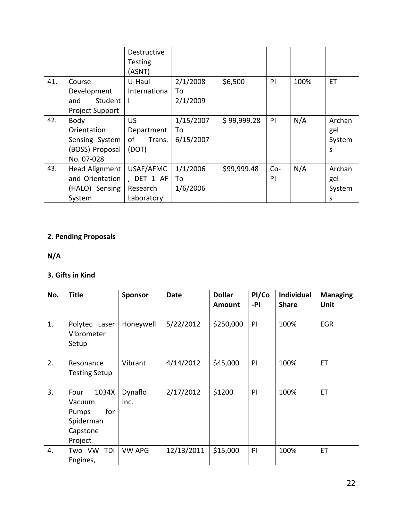|     |                                                                        | Destructive<br>Testing<br>(ASNT)                  |                              |             |             |      |                              |
|-----|------------------------------------------------------------------------|---------------------------------------------------|------------------------------|-------------|-------------|------|------------------------------|
| 41. | Course<br>Development<br>Student<br>and<br><b>Project Support</b>      | U-Haul<br>Internationa<br>ı                       | 2/1/2008<br>To<br>2/1/2009   | \$6,500     | PI          | 100% | ET                           |
| 42. | Body<br>Orientation<br>Sensing System<br>(BOSS) Proposal<br>No. 07-028 | <b>US</b><br>Department<br>of<br>Trans.<br>(DOT)  | 1/15/2007<br>To<br>6/15/2007 | \$99,999.28 | PI          | N/A  | Archan<br>gel<br>System<br>S |
| 43. | Head Alignment<br>and Orientation<br>(HALO) Sensing<br>System          | USAF/AFMC<br>, DET 1 AF<br>Research<br>Laboratory | 1/1/2006<br>To<br>1/6/2006   | \$99,999.48 | $Co-$<br>PI | N/A  | Archan<br>gel<br>System<br>S |

# **2. Pending Proposals**

**N/A**

# **3. Gifts in Kind**

| No. | <b>Title</b>                                                                | <b>Sponsor</b>  | Date       | <b>Dollar</b><br><b>Amount</b> | PI/Co<br>-PI | <b>Individual</b><br><b>Share</b> | <b>Managing</b><br><b>Unit</b> |
|-----|-----------------------------------------------------------------------------|-----------------|------------|--------------------------------|--------------|-----------------------------------|--------------------------------|
| 1.  | Polytec<br>Laser<br>Vibrometer<br>Setup                                     | Honeywell       | 5/22/2012  | \$250,000                      | PI           | 100%                              | <b>EGR</b>                     |
| 2.  | Resonance<br><b>Testing Setup</b>                                           | Vibrant         | 4/14/2012  | \$45,000                       | PI           | 100%                              | ET                             |
| 3.  | 1034X<br>Four<br>Vacuum<br>for<br>Pumps<br>Spiderman<br>Capstone<br>Project | Dynaflo<br>Inc. | 2/17/2012  | \$1200                         | PI           | 100%                              | <b>ET</b>                      |
| 4.  | Two VW<br>TDI<br>Engines,                                                   | <b>VW APG</b>   | 12/13/2011 | \$15,000                       | PI           | 100%                              | ET                             |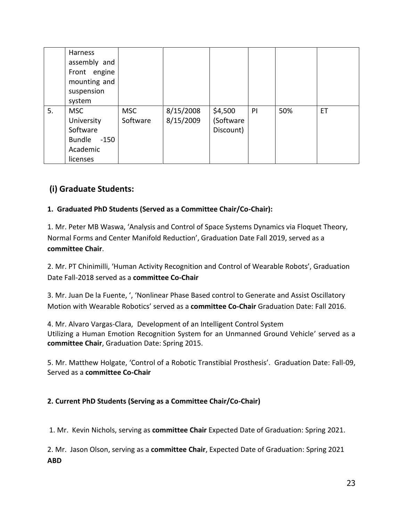|    | <b>Harness</b><br>assembly and<br>Front engine<br>mounting and<br>suspension<br>system |                        |                        |                                   |    |     |    |
|----|----------------------------------------------------------------------------------------|------------------------|------------------------|-----------------------------------|----|-----|----|
| 5. | <b>MSC</b><br>University<br>Software<br>Bundle -150<br>Academic<br>licenses            | <b>MSC</b><br>Software | 8/15/2008<br>8/15/2009 | \$4,500<br>(Software<br>Discount) | PI | 50% | ET |

# **(i) Graduate Students:**

### **1. Graduated PhD Students (Served as a Committee Chair/Co-Chair):**

1. Mr. Peter MB Waswa, 'Analysis and Control of Space Systems Dynamics via Floquet Theory, Normal Forms and Center Manifold Reduction', Graduation Date Fall 2019, served as a **committee Chair**.

2. Mr. PT Chinimilli, 'Human Activity Recognition and Control of Wearable Robots', Graduation Date Fall-2018 served as a **committee Co-Chair**

3. Mr. Juan De la Fuente, ', 'Nonlinear Phase Based control to Generate and Assist Oscillatory Motion with Wearable Robotics' served as a **committee Co-Chair** Graduation Date: Fall 2016.

4. Mr. Alvaro Vargas-Clara, Development of an Intelligent Control System Utilizing a Human Emotion Recognition System for an Unmanned Ground Vehicle' served as a **committee Chair**, Graduation Date: Spring 2015.

5. Mr. Matthew Holgate, 'Control of a Robotic Transtibial Prosthesis'. Graduation Date: Fall-09, Served as a **committee Co-Chair** 

### **2. Current PhD Students (Serving as a Committee Chair/Co-Chair)**

1. Mr. Kevin Nichols, serving as **committee Chair** Expected Date of Graduation: Spring 2021.

2. Mr. Jason Olson, serving as a **committee Chair**, Expected Date of Graduation: Spring 2021 **ABD**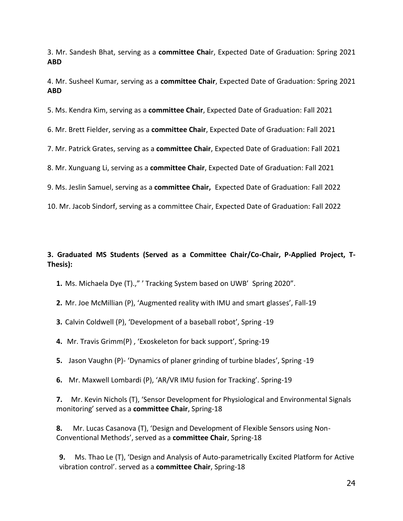3. Mr. Sandesh Bhat, serving as a **committee Chai**r, Expected Date of Graduation: Spring 2021 **ABD**

4. Mr. Susheel Kumar, serving as a **committee Chair**, Expected Date of Graduation: Spring 2021 **ABD**

5. Ms. Kendra Kim, serving as a **committee Chair**, Expected Date of Graduation: Fall 2021

6. Mr. Brett Fielder, serving as a **committee Chair**, Expected Date of Graduation: Fall 2021

7. Mr. Patrick Grates, serving as a **committee Chair**, Expected Date of Graduation: Fall 2021

8. Mr. Xunguang Li, serving as a **committee Chair**, Expected Date of Graduation: Fall 2021

9. Ms. Jeslin Samuel, serving as a **committee Chair,** Expected Date of Graduation: Fall 2022

10. Mr. Jacob Sindorf, serving as a committee Chair, Expected Date of Graduation: Fall 2022

### **3. Graduated MS Students (Served as a Committee Chair/Co-Chair, P-Applied Project, T-Thesis):**

**1.** Ms. Michaela Dye (T).," ' Tracking System based on UWB' Spring 2020".

**2.** Mr. Joe McMillian (P), 'Augmented reality with IMU and smart glasses', Fall-19

**3.** Calvin Coldwell (P), 'Development of a baseball robot', Spring -19

**4.** Mr. Travis Grimm(P) , 'Exoskeleton for back support', Spring-19

**5.** Jason Vaughn (P)- 'Dynamics of planer grinding of turbine blades', Spring -19

**6.** Mr. Maxwell Lombardi (P), 'AR/VR IMU fusion for Tracking'. Spring-19

**7.** Mr. Kevin Nichols (T), 'Sensor Development for Physiological and Environmental Signals monitoring' served as a **committee Chair**, Spring-18

**8.** Mr. Lucas Casanova (T), 'Design and Development of Flexible Sensors using Non-Conventional Methods', served as a **committee Chair**, Spring-18

**9.** Ms. Thao Le (T), 'Design and Analysis of Auto-parametrically Excited Platform for Active vibration control'. served as a **committee Chair**, Spring-18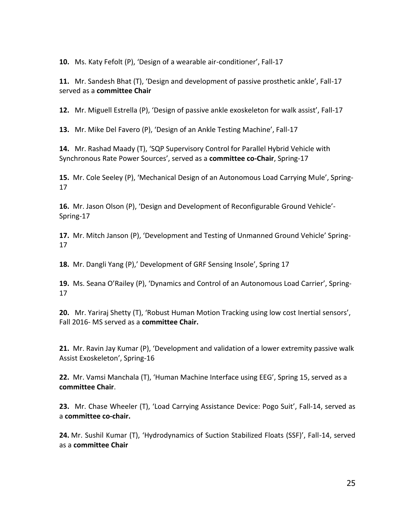**10.** Ms. Katy Fefolt (P), 'Design of a wearable air-conditioner', Fall-17

**11.** Mr. Sandesh Bhat (T), 'Design and development of passive prosthetic ankle', Fall-17 served as a **committee Chair**

**12.** Mr. Miguell Estrella (P), 'Design of passive ankle exoskeleton for walk assist', Fall-17

**13.** Mr. Mike Del Favero (P), 'Design of an Ankle Testing Machine', Fall-17

**14.** Mr. Rashad Maady (T), 'SQP Supervisory Control for Parallel Hybrid Vehicle with Synchronous Rate Power Sources', served as a **committee co-Chair**, Spring-17

**15.** Mr. Cole Seeley (P), 'Mechanical Design of an Autonomous Load Carrying Mule', Spring-17

**16.** Mr. Jason Olson (P), 'Design and Development of Reconfigurable Ground Vehicle'- Spring-17

**17.** Mr. Mitch Janson (P), 'Development and Testing of Unmanned Ground Vehicle' Spring-17

**18.** Mr. Dangli Yang (P),' Development of GRF Sensing Insole', Spring 17

**19.** Ms. Seana O'Railey (P), 'Dynamics and Control of an Autonomous Load Carrier', Spring-17

**20.** Mr. Yariraj Shetty (T), 'Robust Human Motion Tracking using low cost Inertial sensors', Fall 2016- MS served as a **committee Chair.**

**21.** Mr. Ravin Jay Kumar (P), 'Development and validation of a lower extremity passive walk Assist Exoskeleton', Spring-16

**22.** Mr. Vamsi Manchala (T), 'Human Machine Interface using EEG', Spring 15, served as a **committee Chair**.

**23.** Mr. Chase Wheeler (T), 'Load Carrying Assistance Device: Pogo Suit', Fall-14, served as a **committee co-chair.**

**24.** Mr. Sushil Kumar (T), 'Hydrodynamics of Suction Stabilized Floats (SSF)', Fall-14, served as a **committee Chair**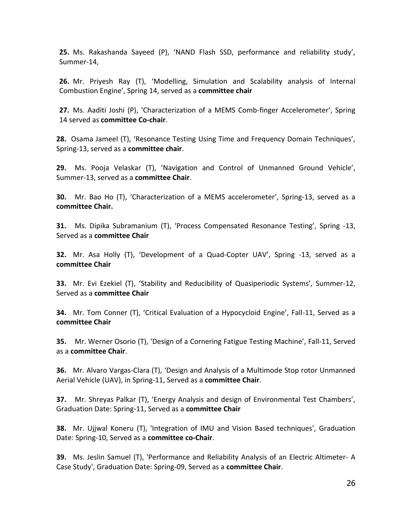**25.** Ms. Rakashanda Sayeed (P), 'NAND Flash SSD, performance and reliability study', Summer-14,

**26.** Mr. Priyesh Ray (T), 'Modelling, Simulation and Scalability analysis of Internal Combustion Engine', Spring 14, served as a **committee chair**

**27.** Ms. Aaditi Joshi (P), 'Characterization of a MEMS Comb-finger Accelerometer', Spring 14 served as **committee Co-chair**.

**28.** Osama Jameel (T), 'Resonance Testing Using Time and Frequency Domain Techniques', Spring-13, served as a **committee chair**.

**29.** Ms. Pooja Velaskar (T), 'Navigation and Control of Unmanned Ground Vehicle', Summer-13, served as a **committee Chair**.

**30.** Mr. Bao Ho (T), 'Characterization of a MEMS accelerometer', Spring-13, served as a **committee Chair.**

**31.** Ms. Dipika Subramanium (T), 'Process Compensated Resonance Testing', Spring -13, Served as a **committee Chair**

**32.** Mr. Asa Holly (T), 'Development of a Quad-Copter UAV', Spring -13, served as a **committee Chair**

**33.** Mr. Evi Ezekiel (T), 'Stability and Reducibility of Quasiperiodic Systems', Summer-12, Served as a **committee Chair**

**34.** Mr. Tom Conner (T), 'Critical Evaluation of a Hypocycloid Engine', Fall-11, Served as a **committee Chair**

**35.** Mr. Werner Osorio (T), 'Design of a Cornering Fatigue Testing Machine', Fall-11, Served as a **committee Chair**.

**36.** Mr. Alvaro Vargas-Clara (T), 'Design and Analysis of a Multimode Stop rotor Unmanned Aerial Vehicle (UAV), in Spring-11, Served as a **committee Chair**.

**37.** Mr. Shreyas Palkar (T), 'Energy Analysis and design of Environmental Test Chambers', Graduation Date: Spring-11, Served as a **committee Chair**

**38.** Mr. Ujjwal Koneru (T), 'Integration of IMU and Vision Based techniques', Graduation Date: Spring-10, Served as a **committee co-Chair**.

**39.** Ms. Jeslin Samuel (T), 'Performance and Reliability Analysis of an Electric Altimeter- A Case Study', Graduation Date: Spring-09, Served as a **committee Chair**.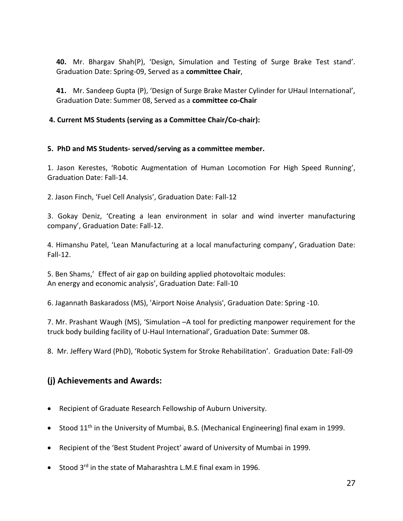**40.** Mr. Bhargav Shah(P), 'Design, Simulation and Testing of Surge Brake Test stand'. Graduation Date: Spring-09, Served as a **committee Chair**,

**41.** Mr. Sandeep Gupta (P), 'Design of Surge Brake Master Cylinder for UHaul International', Graduation Date: Summer 08, Served as a **committee co-Chair**

**4. Current MS Students (serving as a Committee Chair/Co-chair):**

#### **5. PhD and MS Students- served/serving as a committee member.**

1. Jason Kerestes, 'Robotic Augmentation of Human Locomotion For High Speed Running', Graduation Date: Fall-14.

2. Jason Finch, 'Fuel Cell Analysis', Graduation Date: Fall-12

3. Gokay Deniz, 'Creating a lean environment in solar and wind inverter manufacturing company', Graduation Date: Fall-12.

4. Himanshu Patel, 'Lean Manufacturing at a local manufacturing company', Graduation Date: Fall-12.

5. Ben Shams,' Effect of air gap on building applied photovoltaic modules: An energy and economic analysis', Graduation Date: Fall-10

6. Jagannath Baskaradoss (MS), 'Airport Noise Analysis', Graduation Date: Spring -10.

7. Mr. Prashant Waugh (MS), 'Simulation –A tool for predicting manpower requirement for the truck body building facility of U-Haul International', Graduation Date: Summer 08.

8. Mr. Jeffery Ward (PhD), 'Robotic System for Stroke Rehabilitation'. Graduation Date: Fall-09

# **(j) Achievements and Awards:**

- Recipient of Graduate Research Fellowship of Auburn University.
- Stood 11<sup>th</sup> in the University of Mumbai, B.S. (Mechanical Engineering) final exam in 1999.
- Recipient of the 'Best Student Project' award of University of Mumbai in 1999.
- Stood 3<sup>rd</sup> in the state of Maharashtra L.M.E final exam in 1996.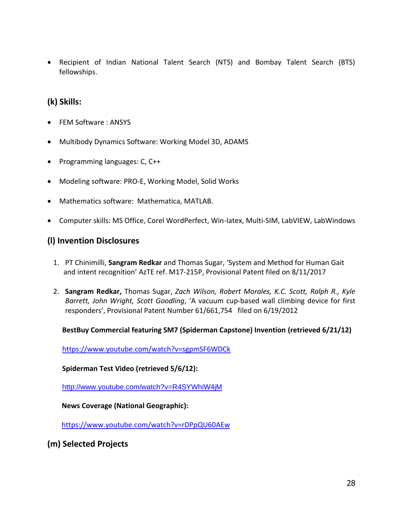• Recipient of Indian National Talent Search (NTS) and Bombay Talent Search (BTS) fellowships.

# **(k) Skills:**

- FEM Software : ANSYS
- Multibody Dynamics Software: Working Model 3D, ADAMS
- Programming languages: C, C++
- Modeling software: PRO-E, Working Model, Solid Works
- Mathematics software: Mathematica, MATLAB.
- Computer skills: MS Office, Corel WordPerfect, Win-latex, Multi-SIM, LabVIEW, LabWindows

# **(l) Invention Disclosures**

- 1. PT Chinimilli, **Sangram Redkar** and Thomas Sugar, 'System and Method for Human Gait and intent recognition' AzTE ref. M17-215P, Provisional Patent filed on 8/11/2017
- 2. **Sangram Redkar,** Thomas Sugar, *Zach Wilson, Robert Morales, K.C. Scott, Ralph R., Kyle Barrett, John Wright, Scott Goodling*, 'A vacuum cup-based wall climbing device for first responders', Provisional Patent Number 61/661,754 filed on 6/19/2012

#### **BestBuy Commercial featuring SM7 (Spiderman Capstone) Invention (retrieved 6/21/12)**

<https://www.youtube.com/watch?v=sgpmSF6WDCk>

**Spiderman Test Video (retrieved 5/6/12):**

<http://www.youtube.com/watch?v=R4SYWhiW4jM>

 **News Coverage (National Geographic):**

<https://www.youtube.com/watch?v=rDPpQU60AEw>

**(m) Selected Projects**